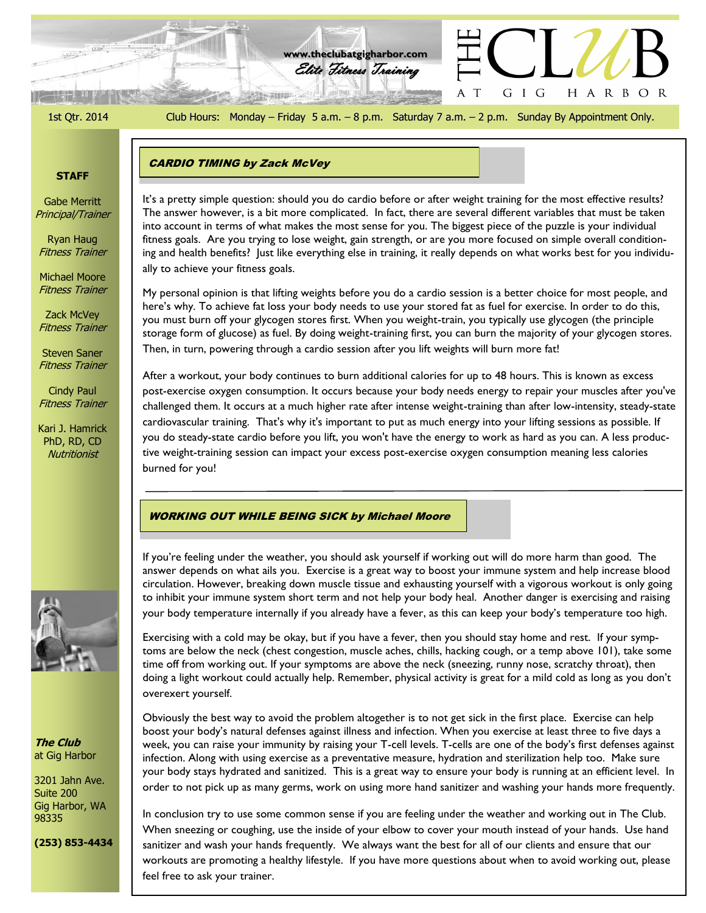$\frac{\sqrt{2} \sqrt{2}}{2}$ 

1st Qtr. 2014 Club Hours: Monday – Friday 5 a.m. – 8 p.m. Saturday 7 a.m. – 2 p.m. Sunday By Appointment Only.

G I G

 $\top$ A

HARBOR

Elite Fitness Training **www.theclubatgigharbor.com**

**215 SHIFT ...** 

# **STAFF**

Gabe Merritt Principal/Trainer

Ryan Haug Fitness Trainer

Michael Moore Fitness Trainer

Zack McVey Fitness Trainer

Steven Saner Fitness Trainer

Cindy Paul Fitness Trainer

Kari J. Hamrick PhD, RD, CD **Nutritionist** 



ally to achieve your fitness goals.

My personal opinion is that lifting weights before you do a cardio session is a better choice for most people, and here's why. To achieve fat loss your body needs to use your stored fat as fuel for exercise. In order to do this, you must burn off your glycogen stores first. When you weight-train, you typically use glycogen (the principle storage form of glucose) as fuel. By doing weight-training first, you can burn the majority of your glycogen stores. Then, in turn, powering through a cardio session after you lift weights will burn more fat!

After a workout, your body continues to burn additional calories for up to 48 hours. This is known as excess post-exercise oxygen consumption. It occurs because your body needs energy to repair your muscles after you've challenged them. It occurs at a much higher rate after intense weight-training than after low-intensity, steady-state cardiovascular training. That's why it's important to put as much energy into your lifting sessions as possible. If you do steady-state cardio before you lift, you won't have the energy to work as hard as you can. A less productive weight-training session can impact your excess post-exercise oxygen consumption meaning less calories burned for you!

### WORKING OUT WHILE BEING SICK by Michael Moore

If you're feeling under the weather, you should ask yourself if working out will do more harm than good. The answer depends on what ails you. Exercise is a great way to boost your immune system and help increase blood circulation. However, breaking down muscle tissue and exhausting yourself with a vigorous workout is only going to inhibit your immune system short term and not help your body heal. Another danger is exercising and raising your body temperature internally if you already have a fever, as this can keep your body's temperature too high.

Exercising with a cold may be okay, but if you have a fever, then you should stay home and rest. If your symptoms are below the neck (chest congestion, muscle aches, chills, hacking cough, or a temp above 101), take some time off from working out. If your symptoms are above the neck (sneezing, runny nose, scratchy throat), then doing a light workout could actually help. Remember, physical activity is great for a mild cold as long as you don't overexert yourself.

Obviously the best way to avoid the problem altogether is to not get sick in the first place. Exercise can help boost your body's natural defenses against illness and infection. When you exercise at least three to five days a week, you can raise your immunity by raising your T-cell levels. T-cells are one of the body's first defenses against infection. Along with using exercise as a preventative measure, hydration and sterilization help too. Make sure your body stays hydrated and sanitized. This is a great way to ensure your body is running at an efficient level. In order to not pick up as many germs, work on using more hand sanitizer and washing your hands more frequently.

In conclusion try to use some common sense if you are feeling under the weather and working out in The Club. When sneezing or coughing, use the inside of your elbow to cover your mouth instead of your hands. Use hand sanitizer and wash your hands frequently. We always want the best for all of our clients and ensure that our workouts are promoting a healthy lifestyle. If you have more questions about when to avoid working out, please feel free to ask your trainer.



**The Club** at Gig Harbor

3201 Jahn Ave. Suite 200 Gig Harbor, WA 98335

**(253) 853-4434**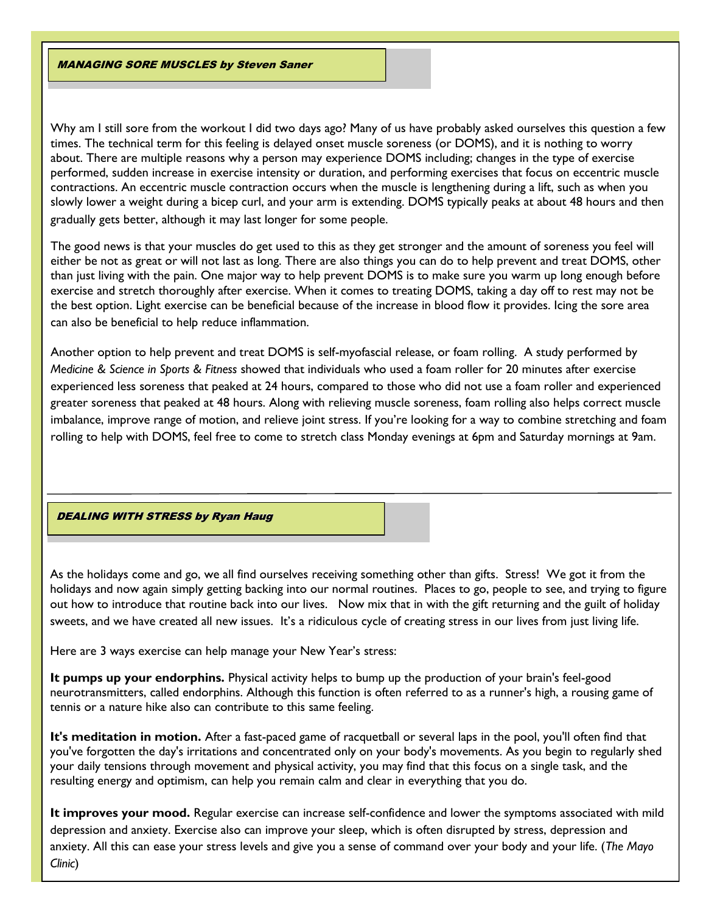MANAGING SORE MUSCLES by Steven Saner

Why am I still sore from the workout I did two days ago? Many of us have probably asked ourselves this question a few times. The technical term for this feeling is delayed onset muscle soreness (or DOMS), and it is nothing to worry about. There are multiple reasons why a person may experience DOMS including; changes in the type of exercise performed, sudden increase in exercise intensity or duration, and performing exercises that focus on eccentric muscle contractions. An eccentric muscle contraction occurs when the muscle is lengthening during a lift, such as when you slowly lower a weight during a bicep curl, and your arm is extending. DOMS typically peaks at about 48 hours and then gradually gets better, although it may last longer for some people.

The good news is that your muscles do get used to this as they get stronger and the amount of soreness you feel will either be not as great or will not last as long. There are also things you can do to help prevent and treat DOMS, other than just living with the pain. One major way to help prevent DOMS is to make sure you warm up long enough before exercise and stretch thoroughly after exercise. When it comes to treating DOMS, taking a day off to rest may not be the best option. Light exercise can be beneficial because of the increase in blood flow it provides. Icing the sore area can also be beneficial to help reduce inflammation.

Another option to help prevent and treat DOMS is self-myofascial release, or foam rolling. A study performed by *Medicine & Science in Sports & Fitness* showed that individuals who used a foam roller for 20 minutes after exercise experienced less soreness that peaked at 24 hours, compared to those who did not use a foam roller and experienced greater soreness that peaked at 48 hours. Along with relieving muscle soreness, foam rolling also helps correct muscle imbalance, improve range of motion, and relieve joint stress. If you're looking for a way to combine stretching and foam rolling to help with DOMS, feel free to come to stretch class Monday evenings at 6pm and Saturday mornings at 9am.

# DEALING WITH STRESS by Ryan Haug

As the holidays come and go, we all find ourselves receiving something other than gifts. Stress! We got it from the holidays and now again simply getting backing into our normal routines. Places to go, people to see, and trying to figure out how to introduce that routine back into our lives. Now mix that in with the gift returning and the guilt of holiday sweets, and we have created all new issues. It's a ridiculous cycle of creating stress in our lives from just living life.

Here are 3 ways exercise can help manage your New Year's stress:

**It pumps up your endorphins.** Physical activity helps to bump up the production of your brain's feel-good neurotransmitters, called endorphins. Although this function is often referred to as a runner's high, a rousing game of tennis or a nature hike also can contribute to this same feeling.

**It's meditation in motion.** After a fast-paced game of racquetball or several laps in the pool, you'll often find that you've forgotten the day's irritations and concentrated only on your body's movements. As you begin to regularly shed your daily tensions through movement and physical activity, you may find that this focus on a single task, and the resulting energy and optimism, can help you remain calm and clear in everything that you do.

**It improves your mood.** Regular exercise can increase self-confidence and lower the symptoms associated with mild depression and anxiety. Exercise also can improve your sleep, which is often disrupted by stress, depression and anxiety. All this can ease your stress levels and give you a sense of command over your body and your life. (*The Mayo Clinic*)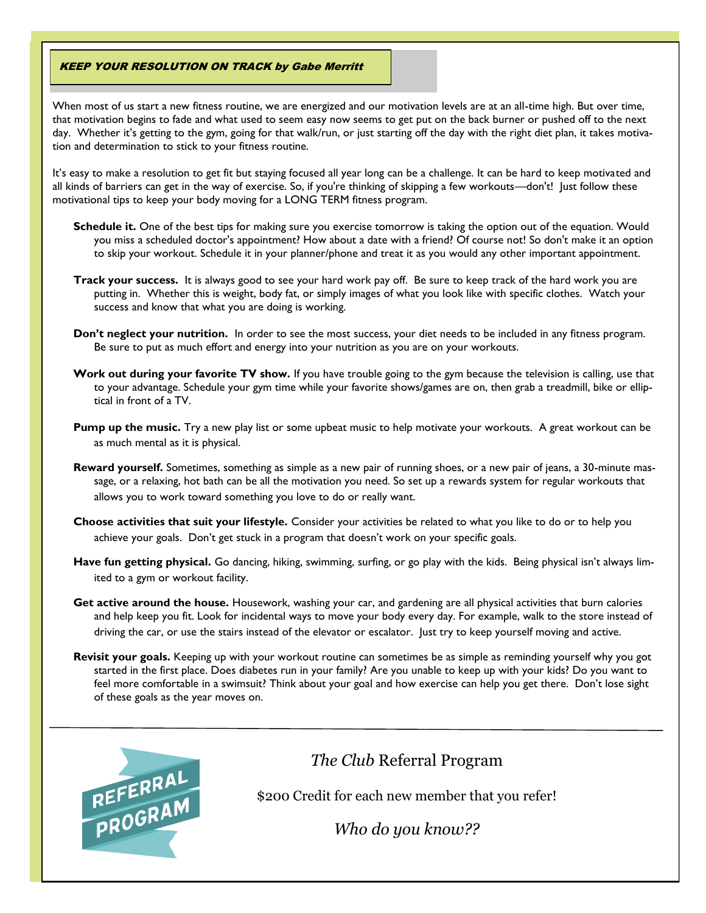## KEEP YOUR RESOLUTION ON TRACK by Gabe Merritt

When most of us start a new fitness routine, we are energized and our motivation levels are at an all-time high. But over time, that motivation begins to fade and what used to seem easy now seems to get put on the back burner or pushed off to the next day. Whether it's getting to the gym, going for that walk/run, or just starting off the day with the right diet plan, it takes motivation and determination to stick to your fitness routine.

It's easy to make a resolution to get fit but staying focused all year long can be a challenge. It can be hard to keep motivated and all kinds of barriers can get in the way of exercise. So, if you're thinking of skipping a few workouts—don't! Just follow these motivational tips to keep your body moving for a LONG TERM fitness program.

- **Schedule it.** One of the best tips for making sure you exercise tomorrow is taking the option out of the equation. Would you miss a scheduled doctor's appointment? How about a date with a friend? Of course not! So don't make it an option to skip your workout. [Schedule it](http://www.sparkpeoplestore.com/product.cfm?uid=612253&context=search&showInactive=N) in your planner/phone and treat it as you would any other important appointment.
- **Track your success.** It is always good to see your hard work pay off. Be sure to keep track of the hard work you are putting in. Whether this is weight, body fat, or simply images of what you look like with specific clothes. Watch your success and know that what you are doing is working.
- **Don't neglect your nutrition.** In order to see the most success, your diet needs to be included in any fitness program. Be sure to put as much effort and energy into your nutrition as you are on your workouts.
- **Work out during your favorite TV show.** If you have trouble going to the gym because the [television is calling,](http://www.sparkpeople.com/resource/wellness_articles.asp?id=414) use that to your advantage. Schedule your gym time while your favorite shows/games are on, then grab a treadmill, bike or elliptical in front of a TV.
- **Pump up the music.** Try a new play list or some upbeat music to help motivate your workouts. A great workout can be as much mental as it is physical.
- **Reward yourself.** Sometimes, something as simple as a new pair of running shoes, or a new pair of jeans, a 30-minute massage, or a relaxing, hot bath can be all the motivation you need. So set up a [rewards system](http://www.sparkpeople.com/resource/motivation_articles.asp?id=86) for regular workouts that allows you to work toward something you love to do or really want.
- **Choose activities that suit your lifestyle.** Consider your activities be related to what you like to do or to help you achieve your goals. Don't get stuck in a program that doesn't work on your specific goals.
- **Have fun getting physical.** Go dancing, hiking, swimming, surfing, or go play with the kids. Being physical isn't always limited to a gym or workout facility.
- **Get active around the house.** Housework, washing your car, and gardening are all physical activities that burn calories and help keep you fit. Look for incidental ways to move your body every day. For example, walk to the store instead of driving the car, or use the stairs instead of the elevator or escalator. Just try to keep yourself moving and active.
- **Revisit your goals.** Keeping up with your workout routine can sometimes be as simple as reminding yourself why you got started in the first place. Does diabetes run in your family? Are you unable to keep up with your kids? Do you want to [feel more comfortable in a swimsuit](http://www.sparkpeople.com/resource/fitness_articles.asp?id=433)? Think about your goal and how exercise can help you get there. Don't lose sight of these goals as the year moves on.



# *The Club* Referral Program

\$200 Credit for each new member that you refer!

*Who do you know??*